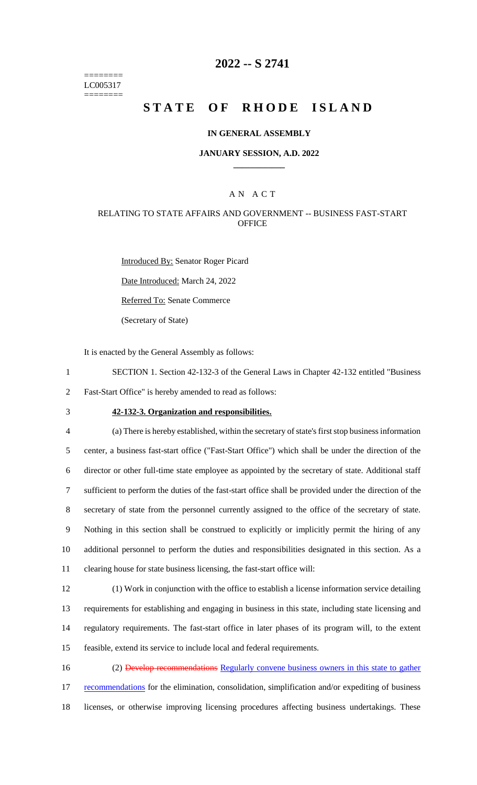======== LC005317 ========

## **2022 -- S 2741**

# **STATE OF RHODE ISLAND**

### **IN GENERAL ASSEMBLY**

#### **JANUARY SESSION, A.D. 2022 \_\_\_\_\_\_\_\_\_\_\_\_**

### A N A C T

### RELATING TO STATE AFFAIRS AND GOVERNMENT -- BUSINESS FAST-START **OFFICE**

Introduced By: Senator Roger Picard Date Introduced: March 24, 2022 Referred To: Senate Commerce (Secretary of State)

It is enacted by the General Assembly as follows:

1 SECTION 1. Section 42-132-3 of the General Laws in Chapter 42-132 entitled "Business 2 Fast-Start Office" is hereby amended to read as follows:

# 3 **42-132-3. Organization and responsibilities.**

 (a) There is hereby established, within the secretary of state's first stop business information center, a business fast-start office ("Fast-Start Office") which shall be under the direction of the director or other full-time state employee as appointed by the secretary of state. Additional staff sufficient to perform the duties of the fast-start office shall be provided under the direction of the secretary of state from the personnel currently assigned to the office of the secretary of state. Nothing in this section shall be construed to explicitly or implicitly permit the hiring of any additional personnel to perform the duties and responsibilities designated in this section. As a clearing house for state business licensing, the fast-start office will:

 (1) Work in conjunction with the office to establish a license information service detailing requirements for establishing and engaging in business in this state, including state licensing and regulatory requirements. The fast-start office in later phases of its program will, to the extent feasible, extend its service to include local and federal requirements.

16 (2) Develop recommendations Regularly convene business owners in this state to gather 17 recommendations for the elimination, consolidation, simplification and/or expediting of business 18 licenses, or otherwise improving licensing procedures affecting business undertakings. These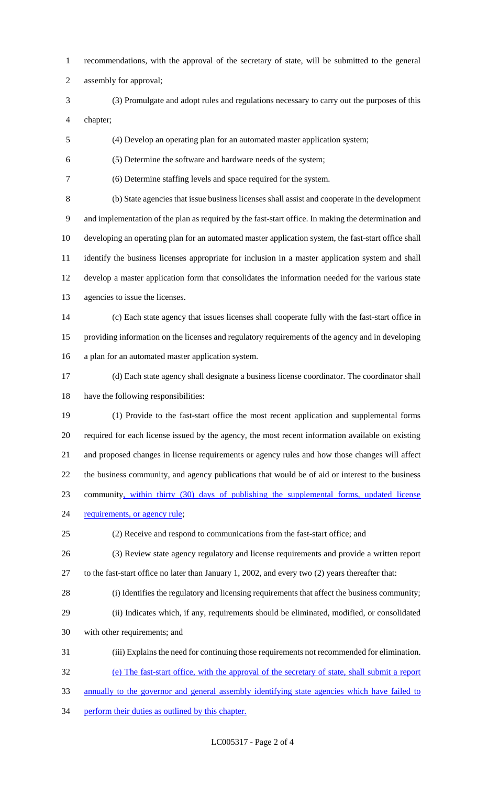recommendations, with the approval of the secretary of state, will be submitted to the general assembly for approval;

- (3) Promulgate and adopt rules and regulations necessary to carry out the purposes of this chapter;
- (4) Develop an operating plan for an automated master application system;

(5) Determine the software and hardware needs of the system;

(6) Determine staffing levels and space required for the system.

 (b) State agencies that issue business licenses shall assist and cooperate in the development and implementation of the plan as required by the fast-start office. In making the determination and developing an operating plan for an automated master application system, the fast-start office shall identify the business licenses appropriate for inclusion in a master application system and shall develop a master application form that consolidates the information needed for the various state agencies to issue the licenses.

- (c) Each state agency that issues licenses shall cooperate fully with the fast-start office in providing information on the licenses and regulatory requirements of the agency and in developing a plan for an automated master application system.
- (d) Each state agency shall designate a business license coordinator. The coordinator shall have the following responsibilities:
- (1) Provide to the fast-start office the most recent application and supplemental forms required for each license issued by the agency, the most recent information available on existing and proposed changes in license requirements or agency rules and how those changes will affect the business community, and agency publications that would be of aid or interest to the business community, within thirty (30) days of publishing the supplemental forms, updated license 24 requirements, or agency rule;
- (2) Receive and respond to communications from the fast-start office; and
- (3) Review state agency regulatory and license requirements and provide a written report
- to the fast-start office no later than January 1, 2002, and every two (2) years thereafter that:
- (i) Identifies the regulatory and licensing requirements that affect the business community;
- (ii) Indicates which, if any, requirements should be eliminated, modified, or consolidated with other requirements; and
- (iii) Explains the need for continuing those requirements not recommended for elimination.
- (e) The fast-start office, with the approval of the secretary of state, shall submit a report
- annually to the governor and general assembly identifying state agencies which have failed to
- perform their duties as outlined by this chapter.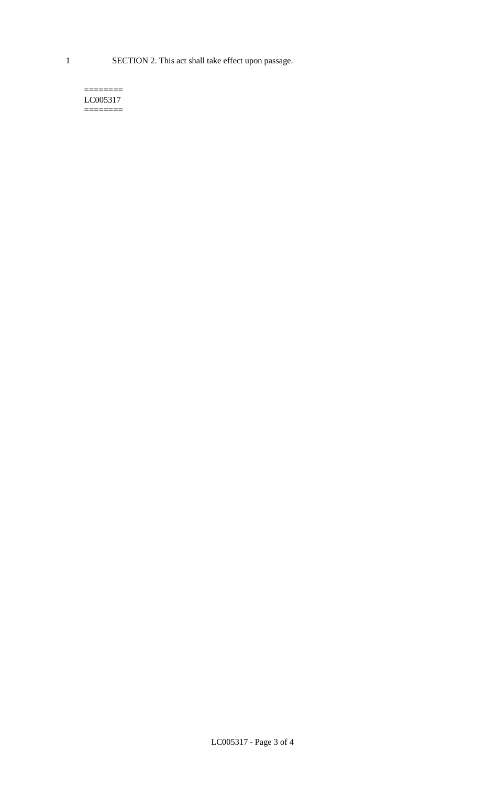1 SECTION 2. This act shall take effect upon passage.